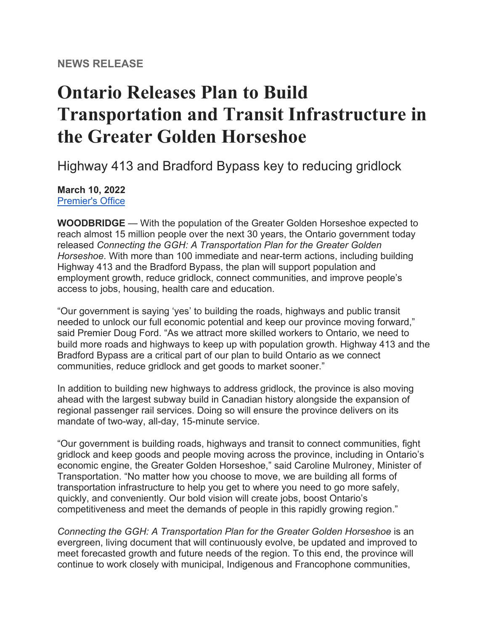# **Ontario Releases Plan to Build Transportation and Transit Infrastructure in the Greater Golden Horseshoe**

Highway 413 and Bradford Bypass key to reducing gridlock

#### **March 10, 2022**

[Premier's Office](https://u22040672.ct.sendgrid.net/ls/click?upn=nW6WfPO4Bjg1VsnalDVryeDJe5ixZPtjiuF6ez553Y5jcMgmDmXTswL3EhHbHiW5kORtFPCGNVK9D23ncqwV8D4Pc0qm2FmLLSt15FEg1xMM8O5p-2BygjcQf5F9DJkroqSwn7aMFF9UV-2FZ5T3detsY1-2B4YFKsIZHFMV-2BdcohYoUZag16nH9jFHx6m00xV2pFgZQIgjJudlfsXzTE7pdF-2FFdclqyCl68SfQwuJO0yvBq0eelQu1J8twpvm8h1NjwC9T-2FE-2B3MV9-2Fr8yAabt78lxVo41gxXO7VhyzcI-2Fm8s9xCkmaQdR1uqe5-2FxgMq8u3iBDVmEA_YH5Itus8WvtzZ7Y81RU7tM23xBgZmnpIPJ1y-2FsgxEFRowPG9qeeLh-2F1kdUsc5u0HGmjkH3U-2BJJYvEWUzm-2BYXjbuTR7LYT7xWJ4B6sYVsg3UDNu-2BPMl8Jd0yBMytlDFgEqgs5d-2FigEo19JMR7C2-2BPKs0cCUOLJzR9kYLwUivjRnS-2F8mddWlWlGnSUmTudEt0PwWc8ohgZj4kr3DXtaLBxrQ-3D-3D)

**WOODBRIDGE** — With the population of the Greater Golden Horseshoe expected to reach almost 15 million people over the next 30 years, the Ontario government today released *Connecting the GGH: A Transportation Plan for the Greater Golden Horseshoe*. With more than 100 immediate and near-term actions, including building Highway 413 and the Bradford Bypass, the plan will support population and employment growth, reduce gridlock, connect communities, and improve people's access to jobs, housing, health care and education.

"Our government is saying 'yes' to building the roads, highways and public transit needed to unlock our full economic potential and keep our province moving forward," said Premier Doug Ford. "As we attract more skilled workers to Ontario, we need to build more roads and highways to keep up with population growth. Highway 413 and the Bradford Bypass are a critical part of our plan to build Ontario as we connect communities, reduce gridlock and get goods to market sooner."

In addition to building new highways to address gridlock, the province is also moving ahead with the largest subway build in Canadian history alongside the expansion of regional passenger rail services. Doing so will ensure the province delivers on its mandate of two-way, all-day, 15-minute service.

"Our government is building roads, highways and transit to connect communities, fight gridlock and keep goods and people moving across the province, including in Ontario's economic engine, the Greater Golden Horseshoe," said Caroline Mulroney, Minister of Transportation. "No matter how you choose to move, we are building all forms of transportation infrastructure to help you get to where you need to go more safely, quickly, and conveniently. Our bold vision will create jobs, boost Ontario's competitiveness and meet the demands of people in this rapidly growing region."

*Connecting the GGH: A Transportation Plan for the Greater Golden Horseshoe* is an evergreen, living document that will continuously evolve, be updated and improved to meet forecasted growth and future needs of the region. To this end, the province will continue to work closely with municipal, Indigenous and Francophone communities,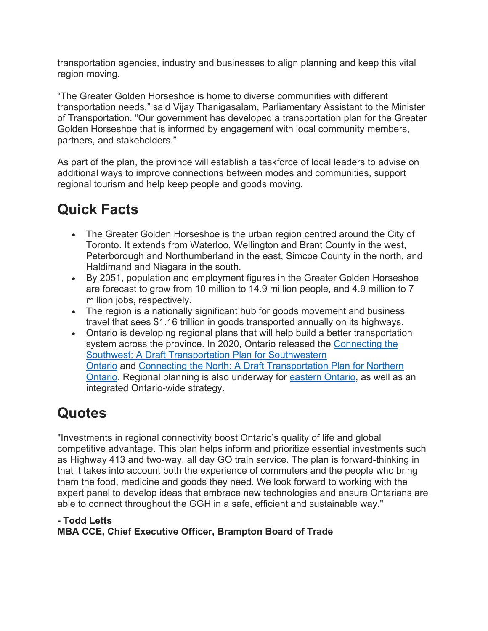transportation agencies, industry and businesses to align planning and keep this vital region moving.

"The Greater Golden Horseshoe is home to diverse communities with different transportation needs," said Vijay Thanigasalam, Parliamentary Assistant to the Minister of Transportation. "Our government has developed a transportation plan for the Greater Golden Horseshoe that is informed by engagement with local community members, partners, and stakeholders."

As part of the plan, the province will establish a taskforce of local leaders to advise on additional ways to improve connections between modes and communities, support regional tourism and help keep people and goods moving.

# **Quick Facts**

- The Greater Golden Horseshoe is the urban region centred around the City of Toronto. It extends from Waterloo, Wellington and Brant County in the west, Peterborough and Northumberland in the east, Simcoe County in the north, and Haldimand and Niagara in the south.
- By 2051, population and employment figures in the Greater Golden Horseshoe are forecast to grow from 10 million to 14.9 million people, and 4.9 million to 7 million jobs, respectively.
- The region is a nationally significant hub for goods movement and business travel that sees \$1.16 trillion in goods transported annually on its highways.
- Ontario is developing regional plans that will help build a better transportation system across the province. In 2020, Ontario released the [Connecting the](https://u22040672.ct.sendgrid.net/ls/click?upn=nW6WfPO4Bjg1VsnalDVryc2mUCiFqnGLmeDn6zcvaZbSyERzh57QuFKQaQn9ONFdvd4Ew6bMwXssrI0byDcLxFl-2Bf-2Fnjbd5xxaDirPgXiBn0-2F9wGvoXM6-2BI-2FCx-2FXW9JbVqYaJTMOPIV5GZVOI1O-2FqZWQ-2Ba2i2Qv8FbYuGpUzm0H-2FNNvzYwDPMux3NnaAUzmL4zt6w1Q6PKMK9woS280rJgEUvmwvRtsbRACLGQ9JQGXO2AwGb1rmp3-2FIURDgt1llRX7IX-2BB4GXdGYV90KYdXOtNP-2BwVHzQLHRVEkcEAWkARMlwKHzNp1doK58jR-2BViAs8EJFpaBeKVJ9zR4PIYeDwzc-2BekbJwHPo7bvygMX8gMcsuxkNboCm05kR8t-2FmKT4Au061QM-2Bwa81fzrvFyniRFw-3D-3DcsGO_YH5Itus8WvtzZ7Y81RU7tM23xBgZmnpIPJ1y-2FsgxEFRowPG9qeeLh-2F1kdUsc5u0HTgq4ANK8kDTGBxacoHqBLNJahxXj-2Fu5aCwtoFSTyyoo25fW4vrxjqBSd7TCXI8OguLh5bkay-2F8DJOh5MQgrkASFDDQKsmkOZctvAq2Eat3yqFzqzZ3y-2FxJDOcBSJIK8CbkSln5x98C4JKnyOFtjuwA-3D-3D)  [Southwest: A Draft Transportation Plan for Southwestern](https://u22040672.ct.sendgrid.net/ls/click?upn=nW6WfPO4Bjg1VsnalDVryc2mUCiFqnGLmeDn6zcvaZbSyERzh57QuFKQaQn9ONFdvd4Ew6bMwXssrI0byDcLxFl-2Bf-2Fnjbd5xxaDirPgXiBn0-2F9wGvoXM6-2BI-2FCx-2FXW9JbVqYaJTMOPIV5GZVOI1O-2FqZWQ-2Ba2i2Qv8FbYuGpUzm0H-2FNNvzYwDPMux3NnaAUzmL4zt6w1Q6PKMK9woS280rJgEUvmwvRtsbRACLGQ9JQGXO2AwGb1rmp3-2FIURDgt1llRX7IX-2BB4GXdGYV90KYdXOtNP-2BwVHzQLHRVEkcEAWkARMlwKHzNp1doK58jR-2BViAs8EJFpaBeKVJ9zR4PIYeDwzc-2BekbJwHPo7bvygMX8gMcsuxkNboCm05kR8t-2FmKT4Au061QM-2Bwa81fzrvFyniRFw-3D-3DcsGO_YH5Itus8WvtzZ7Y81RU7tM23xBgZmnpIPJ1y-2FsgxEFRowPG9qeeLh-2F1kdUsc5u0HTgq4ANK8kDTGBxacoHqBLNJahxXj-2Fu5aCwtoFSTyyoo25fW4vrxjqBSd7TCXI8OguLh5bkay-2F8DJOh5MQgrkASFDDQKsmkOZctvAq2Eat3yqFzqzZ3y-2FxJDOcBSJIK8CbkSln5x98C4JKnyOFtjuwA-3D-3D)  [Ontario](https://u22040672.ct.sendgrid.net/ls/click?upn=nW6WfPO4Bjg1VsnalDVryc2mUCiFqnGLmeDn6zcvaZbSyERzh57QuFKQaQn9ONFdvd4Ew6bMwXssrI0byDcLxFl-2Bf-2Fnjbd5xxaDirPgXiBn0-2F9wGvoXM6-2BI-2FCx-2FXW9JbVqYaJTMOPIV5GZVOI1O-2FqZWQ-2Ba2i2Qv8FbYuGpUzm0H-2FNNvzYwDPMux3NnaAUzmL4zt6w1Q6PKMK9woS280rJgEUvmwvRtsbRACLGQ9JQGXO2AwGb1rmp3-2FIURDgt1llRX7IX-2BB4GXdGYV90KYdXOtNP-2BwVHzQLHRVEkcEAWkARMlwKHzNp1doK58jR-2BViAs8EJFpaBeKVJ9zR4PIYeDwzc-2BekbJwHPo7bvygMX8gMcsuxkNboCm05kR8t-2FmKT4Au061QM-2Bwa81fzrvFyniRFw-3D-3DcsGO_YH5Itus8WvtzZ7Y81RU7tM23xBgZmnpIPJ1y-2FsgxEFRowPG9qeeLh-2F1kdUsc5u0HTgq4ANK8kDTGBxacoHqBLNJahxXj-2Fu5aCwtoFSTyyoo25fW4vrxjqBSd7TCXI8OguLh5bkay-2F8DJOh5MQgrkASFDDQKsmkOZctvAq2Eat3yqFzqzZ3y-2FxJDOcBSJIK8CbkSln5x98C4JKnyOFtjuwA-3D-3D) and [Connecting the North: A Draft Transportation Plan for Northern](https://u22040672.ct.sendgrid.net/ls/click?upn=nW6WfPO4Bjg1VsnalDVryc2mUCiFqnGLmeDn6zcvaZbSyERzh57QuFKQaQn9ONFdQ-2BK31yAeX-2BZXp2BE3PoUleQVW-2FWJsjoPWCSk6FEUSZGCm-2B7fqF97zOF7vBzbdS9cuOkQ3WLUcBas1mwZ-2Fa1WoHUfRG9IiWrXPt0QqEisxkmzITk4e8FZ23y-2B7sgCKVjvFRudB0imrWvfy36vuCaSyz-2FK-2FnJ6KVBtuDW8nxbUiobuLkLikJc-2Bb0dNzoM4-2FKMsdJnvj7H8nvPCT1zmx2Fi3Da-2BdpVnJbsQyIEsfuBqIeZk0RmWhNSYpoXefMXLy-2FTb0BR5m6HdEq57m2UM5WGxvFZQFhDkIMqjcLQEvxZypeGi0hvsVP8huU6tlVlTn7k4-2B3w2QXQF222AeIMRk-2FgKHw-3D-3DWZKL_YH5Itus8WvtzZ7Y81RU7tM23xBgZmnpIPJ1y-2FsgxEFRowPG9qeeLh-2F1kdUsc5u0HUGga53MvKdKC1LOkvwOI-2FDXpaY7sYAW00mM7qWNXx6HI72BqshKfzH-2FEwE0HhdR3nYE-2FESjv-2FtVJXgE5Bk0OdSiNYFHvHvPguZgFIdTFvVX1Lf7nUp-2FJQSYZm6iFHEFGzU0eXglcXDs33tK39XZNbQ-3D-3D)  [Ontario.](https://u22040672.ct.sendgrid.net/ls/click?upn=nW6WfPO4Bjg1VsnalDVryc2mUCiFqnGLmeDn6zcvaZbSyERzh57QuFKQaQn9ONFdQ-2BK31yAeX-2BZXp2BE3PoUleQVW-2FWJsjoPWCSk6FEUSZGCm-2B7fqF97zOF7vBzbdS9cuOkQ3WLUcBas1mwZ-2Fa1WoHUfRG9IiWrXPt0QqEisxkmzITk4e8FZ23y-2B7sgCKVjvFRudB0imrWvfy36vuCaSyz-2FK-2FnJ6KVBtuDW8nxbUiobuLkLikJc-2Bb0dNzoM4-2FKMsdJnvj7H8nvPCT1zmx2Fi3Da-2BdpVnJbsQyIEsfuBqIeZk0RmWhNSYpoXefMXLy-2FTb0BR5m6HdEq57m2UM5WGxvFZQFhDkIMqjcLQEvxZypeGi0hvsVP8huU6tlVlTn7k4-2B3w2QXQF222AeIMRk-2FgKHw-3D-3DWZKL_YH5Itus8WvtzZ7Y81RU7tM23xBgZmnpIPJ1y-2FsgxEFRowPG9qeeLh-2F1kdUsc5u0HUGga53MvKdKC1LOkvwOI-2FDXpaY7sYAW00mM7qWNXx6HI72BqshKfzH-2FEwE0HhdR3nYE-2FESjv-2FtVJXgE5Bk0OdSiNYFHvHvPguZgFIdTFvVX1Lf7nUp-2FJQSYZm6iFHEFGzU0eXglcXDs33tK39XZNbQ-3D-3D) Regional planning is also underway for [eastern Ontario,](https://u22040672.ct.sendgrid.net/ls/click?upn=nW6WfPO4Bjg1VsnalDVryc2mUCiFqnGLmeDn6zcvaZZsmTcZj25i9EcU9GMN3CW-2FZRjYukE-2FszHQGfwPZqn-2FuR62EdC-2FtVKaVaqdxet3oH1kQ-2FXotV-2Foo4a1qVWjPCM2v79d5LB78y1evMaV3qMmCw5F7IAXjdWXJZ6jriEnJ5N23F4zNidSstGunA-2BZJRCGqSMo3E-2BBT6SBZPoRlhY6Xk7Hdbr5zDz4E55lPppbKbTbILC-2FkWrSpf2nUSw7DyDTcNsopru1T7eZOUhV89i03BynN63efiYpuFtFLhcOddwgOgaCHaPeVnfbHp6Cszolx1ApkQkXGGVqIkevLrGqG84JM9tiwM4jmWUX7XdanDvDCKkkchr1tQx85qf2Iyxg_Vsl_YH5Itus8WvtzZ7Y81RU7tM23xBgZmnpIPJ1y-2FsgxEFRowPG9qeeLh-2F1kdUsc5u0HdoXrUgn2h6IR2aKc75Z0ZTJJRjbB3m29dvJyx5KLDHU6TwAHQDSusE71kUtfyNDOlqjUjy-2FfAZ4UDOeEvufyvXJ9JIftmwfc9DoRkLfaQ1nEtJHgAdtwb6rdzdUYJydur4kGfRleROzGgUaO2agQaQ-3D-3D) as well as an integrated Ontario-wide strategy.

## **Quotes**

"Investments in regional connectivity boost Ontario's quality of life and global competitive advantage. This plan helps inform and prioritize essential investments such as Highway 413 and two-way, all day GO train service. The plan is forward-thinking in that it takes into account both the experience of commuters and the people who bring them the food, medicine and goods they need. We look forward to working with the expert panel to develop ideas that embrace new technologies and ensure Ontarians are able to connect throughout the GGH in a safe, efficient and sustainable way."

#### **- Todd Letts MBA CCE, Chief Executive Officer, Brampton Board of Trade**